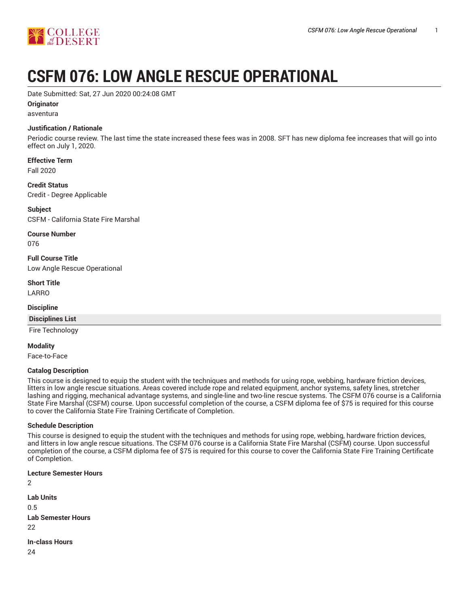

# **CSFM 076: LOW ANGLE RESCUE OPERATIONAL**

Date Submitted: Sat, 27 Jun 2020 00:24:08 GMT

## **Originator**

asventura

## **Justification / Rationale**

Periodic course review. The last time the state increased these fees was in 2008. SFT has new diploma fee increases that will go into effect on July 1, 2020.

**Effective Term** Fall 2020

**Credit Status**

Credit - Degree Applicable

**Subject** CSFM - California State Fire Marshal

**Course Number**

076

**Full Course Title** Low Angle Rescue Operational

**Short Title**

LARRO

## **Discipline**

**Disciplines List**

Fire Technology

**Modality**

Face-to-Face

## **Catalog Description**

This course is designed to equip the student with the techniques and methods for using rope, webbing, hardware friction devices, litters in low angle rescue situations. Areas covered include rope and related equipment, anchor systems, safety lines, stretcher lashing and rigging, mechanical advantage systems, and single-line and two-line rescue systems. The CSFM 076 course is a California State Fire Marshal (CSFM) course. Upon successful completion of the course, a CSFM diploma fee of \$75 is required for this course to cover the California State Fire Training Certificate of Completion.

## **Schedule Description**

This course is designed to equip the student with the techniques and methods for using rope, webbing, hardware friction devices, and litters in low angle rescue situations. The CSFM 076 course is a California State Fire Marshal (CSFM) course. Upon successful completion of the course, a CSFM diploma fee of \$75 is required for this course to cover the California State Fire Training Certificate of Completion.

## **Lecture Semester Hours**

 $\mathcal{D}$ **Lab Units** 0.5 **Lab Semester Hours** 22 **In-class Hours**

24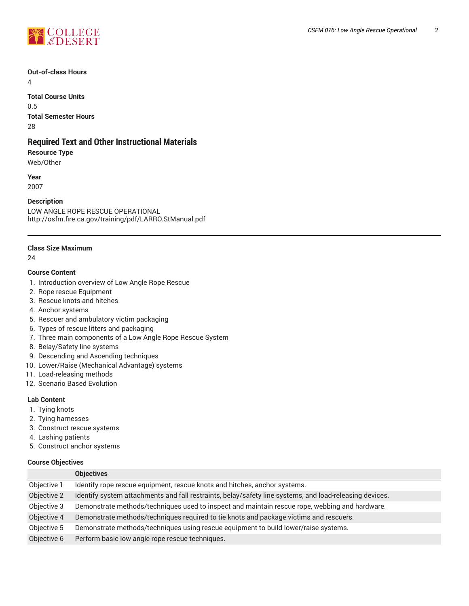

## **Out-of-class Hours**

4

**Total Course Units** 0.5 **Total Semester Hours** 28

# **Required Text and Other Instructional Materials**

## **Resource Type**

Web/Other

**Year** 2007

## **Description**

LOW ANGLE ROPE RESCUE OPERATIONAL http://osfm.fire.ca.gov/training/pdf/LARRO.StManual.pdf

## **Class Size Maximum**

24

## **Course Content**

- 1. Introduction overview of Low Angle Rope Rescue
- 2. Rope rescue Equipment
- 3. Rescue knots and hitches
- 4. Anchor systems
- 5. Rescuer and ambulatory victim packaging
- 6. Types of rescue litters and packaging
- 7. Three main components of a Low Angle Rope Rescue System
- 8. Belay/Safety line systems
- 9. Descending and Ascending techniques
- 10. Lower/Raise (Mechanical Advantage) systems
- 11. Load-releasing methods
- 12. Scenario Based Evolution

## **Lab Content**

- 1. Tying knots
- 2. Tying harnesses
- 3. Construct rescue systems
- 4. Lashing patients
- 5. Construct anchor systems

## **Course Objectives**

|             | <b>Objectives</b>                                                                                       |
|-------------|---------------------------------------------------------------------------------------------------------|
| Objective 1 | Identify rope rescue equipment, rescue knots and hitches, anchor systems.                               |
| Objective 2 | Identify system attachments and fall restraints, belay/safety line systems, and load-releasing devices. |
| Objective 3 | Demonstrate methods/techniques used to inspect and maintain rescue rope, webbing and hardware.          |
| Objective 4 | Demonstrate methods/techniques required to tie knots and package victims and rescuers.                  |
| Objective 5 | Demonstrate methods/techniques using rescue equipment to build lower/raise systems.                     |
| Objective 6 | Perform basic low angle rope rescue techniques.                                                         |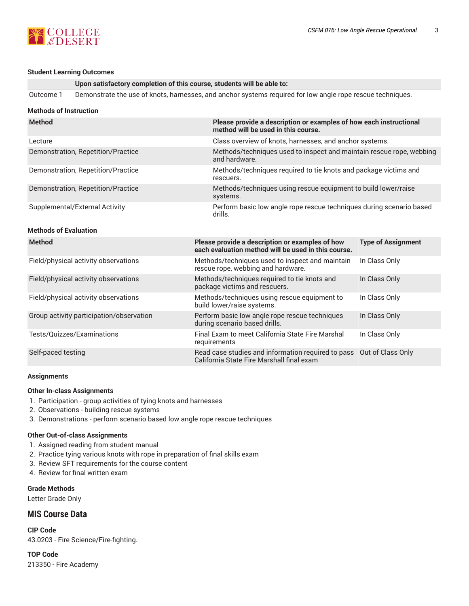

#### **Student Learning Outcomes**

**Upon satisfactory completion of this course, students will be able to:**

Outcome 1 Demonstrate the use of knots, harnesses, and anchor systems required for low angle rope rescue techniques.

## **Methods of Instruction**

| <b>Method</b>                            | Please provide a description or examples of how each instructional<br>method will be used in this course.         |                                                         |  |  |
|------------------------------------------|-------------------------------------------------------------------------------------------------------------------|---------------------------------------------------------|--|--|
| Lecture                                  |                                                                                                                   | Class overview of knots, harnesses, and anchor systems. |  |  |
| Demonstration, Repetition/Practice       | Methods/techniques used to inspect and maintain rescue rope, webbing<br>and hardware.                             |                                                         |  |  |
| Demonstration, Repetition/Practice       | Methods/techniques required to tie knots and package victims and<br>rescuers.                                     |                                                         |  |  |
| Demonstration, Repetition/Practice       | Methods/techniques using rescue equipment to build lower/raise<br>systems.                                        |                                                         |  |  |
| Supplemental/External Activity           | Perform basic low angle rope rescue techniques during scenario based<br>drills.                                   |                                                         |  |  |
| <b>Methods of Evaluation</b>             |                                                                                                                   |                                                         |  |  |
| <b>Method</b>                            | Please provide a description or examples of how<br>each evaluation method will be used in this course.            | <b>Type of Assignment</b>                               |  |  |
| Field/physical activity observations     | Methods/techniques used to inspect and maintain<br>rescue rope, webbing and hardware.                             | In Class Only                                           |  |  |
| Field/physical activity observations     | Methods/techniques required to tie knots and<br>package victims and rescuers.                                     | In Class Only                                           |  |  |
| Field/physical activity observations     | Methods/techniques using rescue equipment to<br>build lower/raise systems.                                        | In Class Only                                           |  |  |
| Group activity participation/observation | Perform basic low angle rope rescue techniques<br>during scenario based drills.                                   | In Class Only                                           |  |  |
| Tests/Quizzes/Examinations               | Final Exam to meet California State Fire Marshal<br>requirements                                                  | In Class Only                                           |  |  |
| Self-paced testing                       | Read case studies and information required to pass Out of Class Only<br>California State Fire Marshall final exam |                                                         |  |  |

#### **Assignments**

## **Other In-class Assignments**

- 1. Participation group activities of tying knots and harnesses
- 2. Observations building rescue systems
- 3. Demonstrations perform scenario based low angle rope rescue techniques

## **Other Out-of-class Assignments**

- 1. Assigned reading from student manual
- 2. Practice tying various knots with rope in preparation of final skills exam
- 3. Review SFT requirements for the course content
- 4. Review for final written exam

**Grade Methods**

Letter Grade Only

## **MIS Course Data**

**CIP Code** 43.0203 - Fire Science/Fire-fighting.

**TOP Code** 213350 - Fire Academy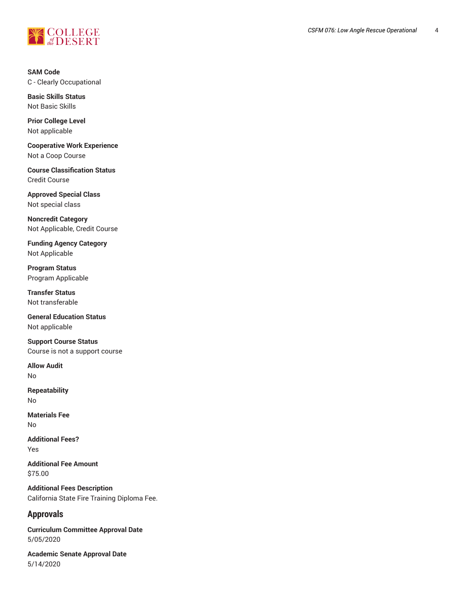

**SAM Code** C - Clearly Occupational

**Basic Skills Status** Not Basic Skills

**Prior College Level** Not applicable

**Cooperative Work Experience** Not a Coop Course

**Course Classification Status** Credit Course

**Approved Special Class** Not special class

**Noncredit Category** Not Applicable, Credit Course

**Funding Agency Category** Not Applicable

**Program Status** Program Applicable

**Transfer Status** Not transferable

**General Education Status** Not applicable

**Support Course Status** Course is not a support course

**Allow Audit** No

**Repeatability** No

**Materials Fee** No

**Additional Fees?** Yes

**Additional Fee Amount** \$75.00

**Additional Fees Description** California State Fire Training Diploma Fee.

# **Approvals**

**Curriculum Committee Approval Date** 5/05/2020

**Academic Senate Approval Date** 5/14/2020